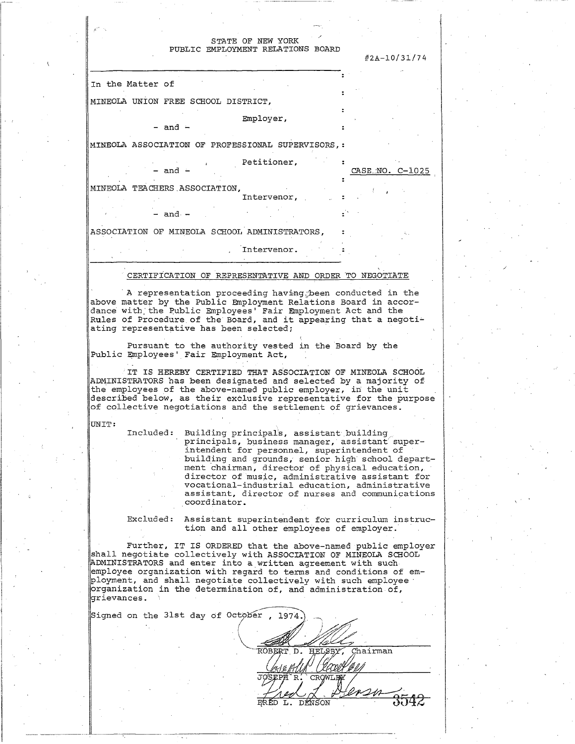## STATE OF NEW YORK PUBLIC EMPLOYMENT RELATIONS BOARD

#2A-10/31/74

MINEOLA UNION FREE SCHOOL DISTRICT,

Employer,

 $-$  and  $-$ 

In the Matter of

MINEOLA ASSOCIATION OF PROFESSIONAL SUPERVISORS,

, Petitioner,

Intervenor,

CASE-NO. C-1025

 $and -$ - an d - MINEOLA TEACHERS.ASSOCIATION,

- and  $-$ 

ASSOCIATION OF MINEOLA SCHOOL ADMINISTRATORS,

Tntervenor. Intervenor.

CERTIFICATION OF REPRESENTATIVE AND ORDER TO NEGOTIATE

A representation proceeding having; been conducted in the above matter by the Public Employment Relations Board in accordance with the Public Employees' Fair Employment Act and the Rules of Procedure.of the" Board, and it appearing that a negotiating representative has been selected;

Pursuant to the authority vested in the Board by the Public Employees' Fair Employment Act,

IT IS HEREBY CERTIFIED THAT ASSOCIATION OF MINEOLA SCHOOL ADMINISTRATORS has been designated and selected by a majority of the employees of the above-named public employer, in the unit described below, as their exclusive representative for the purpose of collective negotiations and the settlement of grievances.

UNIT:

 $\mathop{{|\mathrm{Signed}}}\nolimits$ 

Included: Building principals, assistant building principals, business manager, assistant superintendent for personnel, superintendent of building and grounds, senior, high' school department chairman, director of physical education, director of music, administrative assistant for vocational-industrial education, administrative assistant, director of nurses and communications coordinator.

Excluded: Assistant superintendent for curriculum instruction and all other employees of employer.

Further, IT IS ORDERED that the above-named public employer shall negotiate collectively with ASSOCIATION OF MINEOLA SCHOOL [ADMINISTRATORS and enter into a written agreement with such employee organization with regard to terms and conditions of employment, and shall negotiate collectively with such employee • organization in the determination of, and administration of, grievances. '

|  |  | on the 31st day of October, 1974. |  |
|--|--|-----------------------------------|--|
|  |  |                                   |  |
|  |  |                                   |  |
|  |  | Chairman<br>ROBERT D.<br>HELSB)   |  |
|  |  |                                   |  |
|  |  | JOSEPH<br>R<br>CROWLEY            |  |
|  |  |                                   |  |
|  |  | ∱⊤⊂∩∖⊤                            |  |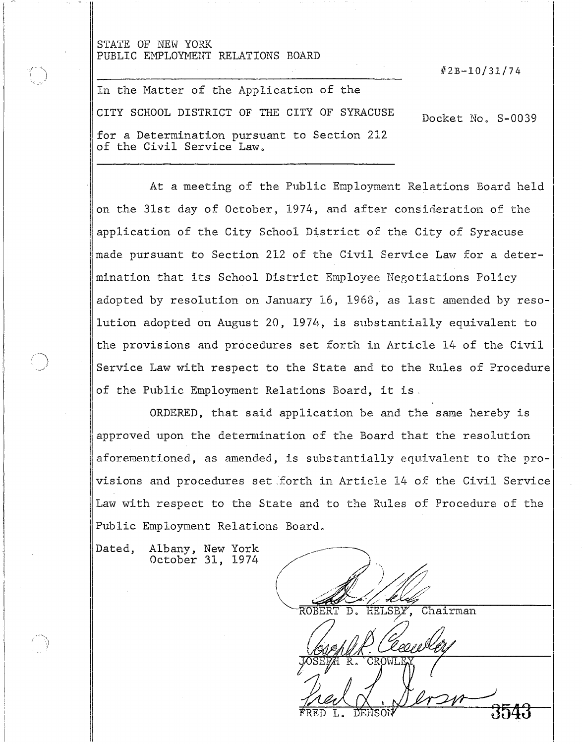# STATE OF NEW YORK PUBLIC EMPLOYMENT RELATIONS BOARD

#23-10/31/74

In the Matter of the Application of the CITY SCHOOL DISTRICT OF THE CITY OF SYRACUSE for a Determination pursuant to Section 212 of the Civil Service Law. Docket No. S-0039

At a meeting of the Public Employment Relations Board held on the 31st day of October, 1974, and after consideration of the application of the City School District of the City of Syracuse made pursuant to Section 212 of the Civil Service Law for a determination that its School District Employee Negotiations Policy adopted by resolution on January 16, 1968, as last amended by resolution adopted on August 20, 1974, is substantially equivalent to the provisions and procedures set forth in Article 14 of the Civil Service Law with respect to the State and to the Rules of Procedure of the Public Employment Relations Board, it is.

ORDERED, that said application be and the same hereby is approved upon the determination of the Board that the resolution aforementioned, as amended, is substantially equivalent to the provisions and procedures set .forth in Article 14 of the Civil Service Law with respect to the State and to the Rules of Procedure of the Public Employment Relations Board.

Dated, Albany, New York October 31, 1974

Chairman

RED L. DENSON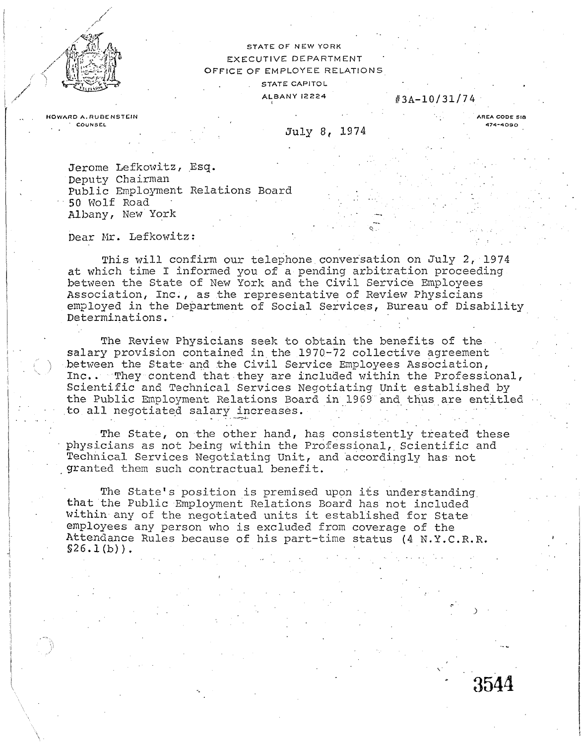

**,^ac** STATE OF NEW YORK EXECUTIVE DEPARTMENT OFFICE OF EMPLOYEE RELATIONS STATE CAPITOL

 $A$ <sub>1</sub>BANY 12224 #3A-10/31/74

**HOWARD A. RUBENSTEIN** 

July 8, 1974

**AREA CODE SIS 474-409 0** 

 $\boldsymbol{\upsilon}$ 

Jerome Lefkowitz, Esq. Deputy Chairman Public Employment Relations Board 50 Wolf Road Albany, New York

Dear Mr. Lefkowitz:

This will confirm our telephone.conversation on July 2, 1974 at which time I informed you of a pending arbitration proceeding between the State of New York and the Civil Service Employees Association, Inc., as the representative of Review Physicians employed in the Department of Social Services, Bureau of Disability Determinations.

The Review Physicians seek to obtain the benefits of the salary provision contained in the 1970-72 collective agreement .between the State- and the Civil Service Employees Association, Inc.. They contend that they are included within the Professional, Scientific and Technical Services Negotiating Unit established by the Public Employment Relations Board in 1969 and thus are entitled to all negotiated salary increases.

The State, on the other hand, has consistently treated these physicians as not being within the Professional, Scientific and Technical Services Negotiating Unit, and accordingly has not granted them such contractual benefit.

The State's position is premised upon its understanding. that the Public Employment Relations Board has not included within-any of the negotiated units it established for State employees any person who is excluded from coverage of the Attendance Rules because of his part-time status (4 N.Y.C.R.R.  $$26.1(b)$ .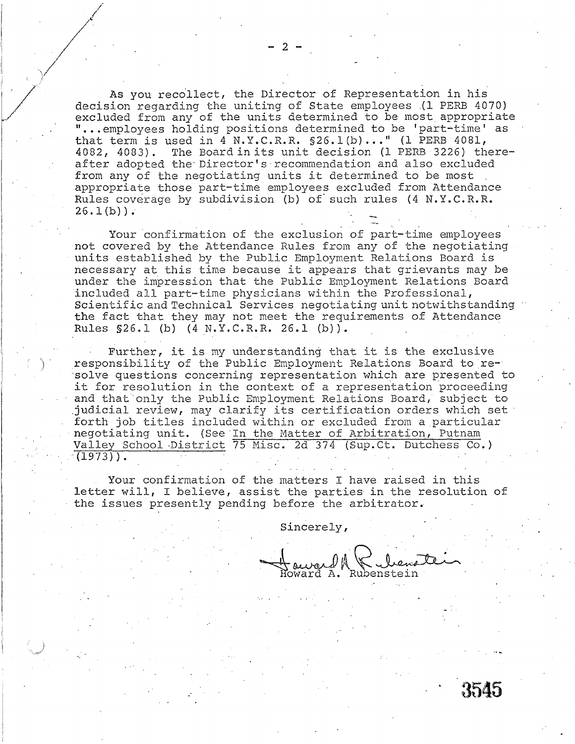As you recollect, the Director of Representation in his decision regarding the uniting of State employees (1 PERB 4070) excluded from any of the units determined to be most, appropriate "...employees holding positions determined to be 'part-time' as that term is used in 4 N.Y.C.R.R. §26.1 (b)..." (1 PERB 4081, 4082, 4083). The Board in its unit decision (1 PERB 3226) thereafter adopted the Director's recommendation and also excluded from any of the negotiating units it determined to be most appropriate those part-time employees excluded from Attendance Rules coverage by subdivision (b) of such rules (4 N.Y.C.R.R.  $26.1(b)$ .

Your confirmation of the exclusion of part-time employees not covered by the Attendance Rules from any of the negotiating units established by the Public Employment Relations Board is necessary at this time because it appears that grievants may be under the impression that the Public Employment Relations Board included all part-time physicians within the Professional, Scientific and Technical Services negotiating unit notwithstanding the fact that they may not meet the requirements of Attendance Rules §26.1 (b) (4 N.Y.C.R.R. 26.1 (b)).

Further, it is my understanding that it is the exclusive responsibility of the Public Employment Relations Board to resolve questions concerning representation which are presented to it for resolution in the context of a representation proceeding and that only the Public Employment Relations Board, subject to judicial review, may clarify its certification orders which set forth job titles included within or excluded from a,particular negotiating unit. (See In the Matter of Arbitration, Putnam Valley School District 75 Misc. 2d 374 (Sup.Ct. Dutchess Co.)  $(1973)$ .

Your confirmation of the matters I have raised in this letter will, I believe, assist the parties in the resolution of the issues presently pending before the arbitrator.

Sincerely,

A. Rubenstein

{545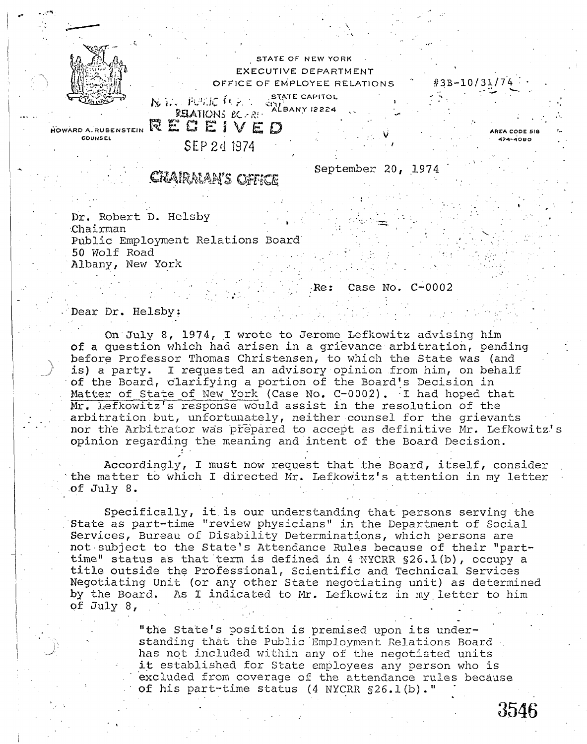

STATE OF NEW YORK EXECUTIVE DEPARTMENT OFFICE OF EMPLOYEE RELATIONS **, . - . ;• .,.••- / , • STATE CAPITOL**  ly destructions of the starts

 $\mathcal{P}$  and  $\mathcal{P}$  and  $\mathcal{P}$  and  $\mathcal{P}$  ,  $\mathcal{P}$  ,  $\mathcal{P}$  ,  $\mathcal{P}$  ,  $\mathcal{P}$  ,  $\mathcal{P}$  ,  $\mathcal{P}$  ,  $\mathcal{P}$  ,  $\mathcal{P}$  ,  $\mathcal{P}$  ,  $\mathcal{P}$  ,  $\mathcal{P}$  ,  $\mathcal{P}$  ,  $\mathcal{P}$  ,  $\mathcal{P}$  ,  $\mathcal{P}$  ,  $\mathcal{P$ 

**HOWARD A.RUBENSTEIN COUNSEL** 

SEP 2d 1374

Crairman's office

RECEIVED

# September 20, 1974

#3B-10/31/7'4

**AREA CODE SI <7-4--»090** 

Dr. Robert D. Helsby .Chairman Public Employment Relations Board 50 Wolf Road Albany, New York

Re: Case No. C-0002

Dear Dr. Helsby:

On July 8, 1974, I wrote to Jerome Lefkowitz advising him of a question which had arisen in a grievance arbitration, pending before Professor Thomas Christensen, to which the State was (and is) a party. I requested an advisory opinion from him, on behalf of the Board, clarifying a portion of the Board's Decision in Matter of State of New York (Case No. C-0002). I had hoped that Mr. Lefkowitz's response would assist in the resolution of the arbitration.but, unfortunately, neither counsel for the grievants nor the Arbitrator was prepared to accept as definitive Mr. Lefkowitz's opinion regarding the meaning and intent of the Board Decision.

Accordingly, I must now request that the Board, itself, consider the matter to which I directed Mr. Lefkowitz's attention in my letter • of July 8.

Specifically, it. is our understanding that persons serving the State as part-time "review physicians" in the Department of Social Services, Bureau of Disability Determinations, which persons are not subject to the State's Attendance Rules because of their "parttime" status as that term is defined in 4 NYCRR §26.1(b), occupy a title outside the Professional, Scientific and Technical Services Negotiating Unit (or any other State negotiating unit) as determined by the Board. As I indicated to Mr. Lefkowitz in my.letter to him of  $\text{July } 8$ ,

> "the State's position is premised upon its understanding that the Public 'Employment Relations Board has not included within any of the negotiated units it established for State employees any person who is excluded from coverage of the attendance rules because of his part-time status (4 NYCRR §26.1(b)."

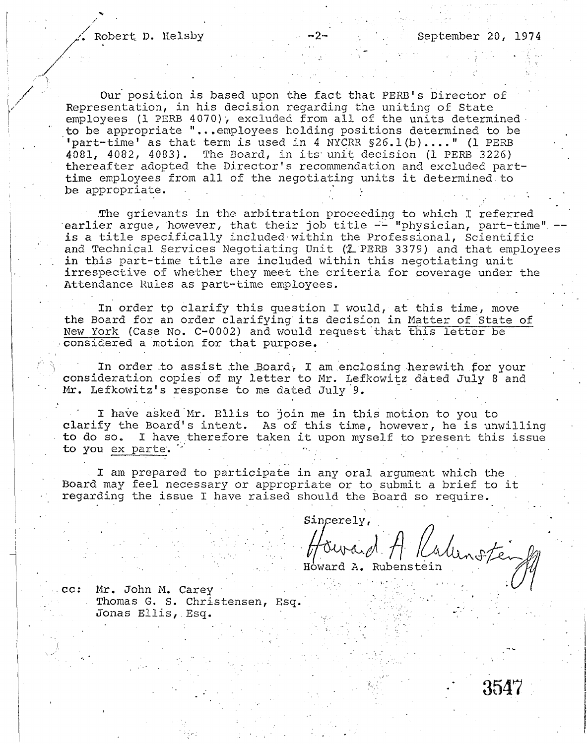**/** 

Our position is based upon the fact that PERB's Director of Representation, in his decision regarding the uniting of State employees (1 PERB 4070), excluded from all of the units determinedto be appropriate "...employees holding positions determined to be  $\blacksquare$  part-time' as that term is used in 4 NYCRR  $\S26.1$ (b)...." (1 PERB 4081, 4082, 4083). The Board, in its unit decision (1 PERB 3226) thereafter adopted the Director's recommendation and excluded parttime employees from all of the negotiating units it determined.to be appropriate.

.The grievants in the arbitration proceeding to which I referred earlier argue, however, that their job title  $-$  "physician, part-time" is a title specifically included within the Professional, Scientific and Technical Services Negotiating Unit (1 PERB 3379) and that employees in this part-time title are included within this negotiating unit irrespective of whether they meet the criteria for coverage under the Attendance Rules as part-time employees.

In order to clarify this question I would, at this time, move the Board for an order clarifying' its decision in Matter of State of New York (Case No. C-0002) and would request that this letter be •considered a motion for that purpose. •

In order to assist the Board, I am enclosing herewith for your consideration copies of my letter to Mr. Lefkowitz dated July 8 and Mr. Lefkowitz's response to me dated July 9.

I have asked Mr. Ellis to join me in this motion to you to clarify the Board's intent. As of this time, however, he is unwilling to do so. I have therefore taken it upon myself to present this issue to you ex parte.

I am prepared to participate in any oral argument which the . Board may feel necessary or appropriate or to submit a brief to it regarding the issue I have raised should the Board so require.

Sincerely,

Hourard A Kaluno

cc: Mr. John M. Carey . Thomas G. S. Christensen, Esq. Jonas Ellis,.Esq.

3547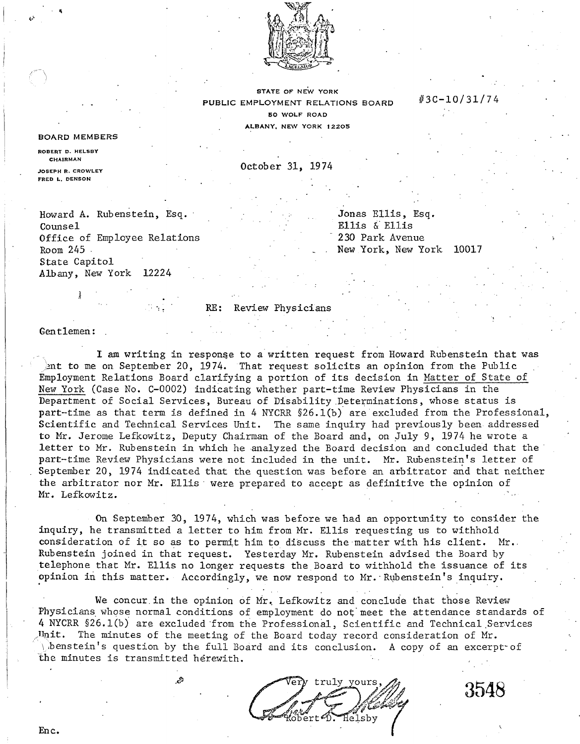

**STATE OF NEW YORK**  PUBLIC EMPLOYMENT RELATIONS BOARD **5 0 WOLF ROAD ALBANY, NEW YORK 12205** 

## BOARD MEMBERS

**ROBERT D. HELSBY CHAIRMAN JOSEPH R. CROWLEY** 

**FRED L. DENSON** 

October 31, 1974

Howard A. Rubenstein, Esq. Counsel Office of Employee Relations Room 245 State Capitol Albany, New York 12224

Jonas Ellis, Esq. Ellis & Ellis 230 Park Avenue New York, New York 10017

#3010/31/7 4

#### RE: Review Physicians

### Gentlemen:

 $\frac{1}{2}$ 

I am writing in response to a written request from Howard Rubenstein that was Ant to me on September 20, 1974. That request solicits an opinion from the Public Employment Relations Board clarifying a portion of its decision in Matter of State of New York (Case No. C-0002) indicating whether part-time Review Physicians in the Department of Social Services, Bureau of Disability Determinations, whose status is part-time as that term is defined in 4 NYCRR §26.1(b) are excluded from the Professional, Scientific and Technical Services Unit. The same inquiry had previously been addressed to Mr. Jerome Lefkowitz, Deputy Chairman of the Board and, on July 9, 1974 he wrote a letter to Mr. Rubenstein in which he analyzed the Board decision and concluded that the part-time Review Physicians were not included in the unit. Mr. Rubenstein's letter of September 20, 1974 indicated that the question was before an arbitrator and that neither the arbitrator nor Mr. Ellis were prepared to accept as definitive the opinion of Mr. Lefkowitz.

On September 30, 1974, which was before we had an opportunity to consider the inquiry, he transmitted a letter to him from Mr. Ellis requesting us to withhold consideration of it so as to permit him to discuss the matter with his client. Mr. Rubenstein joined in that request. Yesterday Mr. Rubenstein advised the Board by telephone that Mr. Ellis no longer requests the Board to withhold the issuance of its opinion in this matter. Accordingly, we now respond to Mr. Rubenstein's inquiry.

We concur.in the opinion of Mr. Lefkowitz and conclude that those Review Physicians whose normal conditions of employment do not meet the attendance standards of 4 NYCRR §26.1(b) are excluded from the Professional, Scientific and Technical Services Juit. The minutes of the meeting of the Board today record consideration of Mr. \ ibenstein's question by the full Board and its conclusion. A copy of an excerpt" of the minutes is transmitted herewith.

truly yours elshy



Enc.